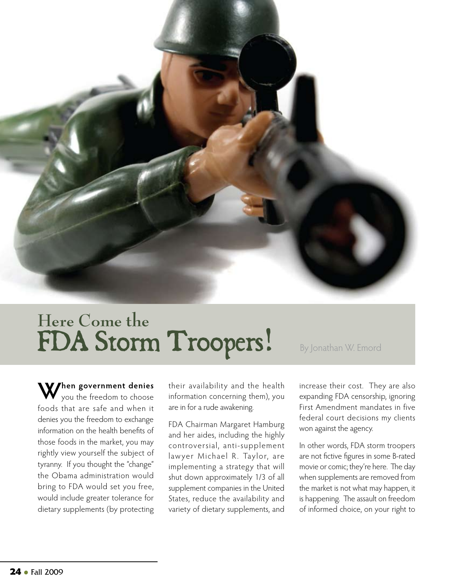

## **Here Come the**  FDA Storm Troopers! By Jonathan W. Emord

**When government denies**  you the freedom to choose foods that are safe and when it denies you the freedom to exchange information on the health benefits of those foods in the market, you may rightly view yourself the subject of tyranny. If you thought the "change" the Obama administration would bring to FDA would set you free, would include greater tolerance for dietary supplements (by protecting

their availability and the health information concerning them), you are in for a rude awakening.

FDA Chairman Margaret Hamburg and her aides, including the highly controversial, anti-supplement lawyer Michael R. Taylor, are implementing a strategy that will shut down approximately 1/3 of all supplement companies in the United States, reduce the availability and variety of dietary supplements, and

increase their cost. They are also expanding FDA censorship, ignoring First Amendment mandates in five federal court decisions my clients won against the agency.

In other words, FDA storm troopers are not fictive figures in some B-rated movie or comic; they're here. The day when supplements are removed from the market is not what may happen, it is happening. The assault on freedom of informed choice, on your right to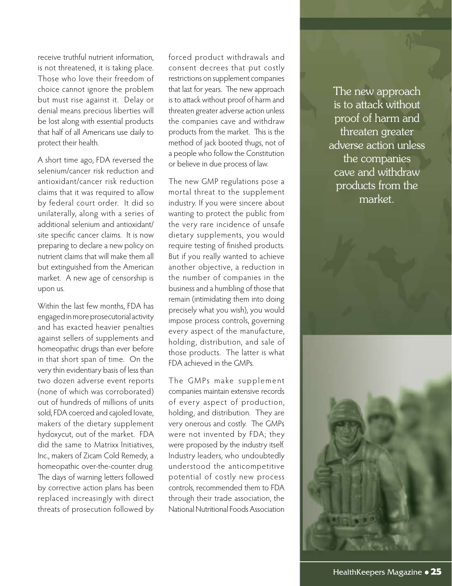receive truthful nutrient information, is not threatened, it is taking place. Those who love their freedom of choice cannot ignore the problem but must rise against it. Delay or denial means precious liberties will be lost along with essential products that half of all Americans use daily to protect their health.

A short time ago, FDA reversed the selenium/cancer risk reduction and antioxidant/cancer risk reduction claims that it was required to allow by federal court order. It did so unilaterally, along with a series of additional selenium and antioxidant/ site specific cancer claims. It is now preparing to declare a new policy on nutrient claims that will make them all but extinguished from the American market. A new age of censorship is upon us.

Within the last few months, FDA has engaged in more prosecutorial activity and has exacted heavier penalties against sellers of supplements and homeopathic drugs than ever before in that short span of time. On the very thin evidentiary basis of less than two dozen adverse event reports (none of which was corroborated) out of hundreds of millions of units sold, FDA coerced and cajoled Iovate, makers of the dietary supplement hydoxycut, out of the market. FDA did the same to Matrixx Initiatives, Inc., makers of Zicam Cold Remedy, a homeopathic over-the-counter drug. The days of warning letters followed by corrective action plans has been replaced increasingly with direct threats of prosecution followed by

forced product withdrawals and consent decrees that put costly restrictions on supplement companies that last for years. The new approach is to attack without proof of harm and threaten greater adverse action unless the companies cave and withdraw products from the market. This is the method of jack booted thugs, not of a people who follow the Constitution or believe in due process of law.

The new GMP regulations pose a mortal threat to the supplement industry. If you were sincere about wanting to protect the public from the very rare incidence of unsafe dietary supplements, you would require testing of finished products. But if you really wanted to achieve another objective, a reduction in the number of companies in the business and a humbling of those that remain (intimidating them into doing precisely what you wish), you would impose process controls, governing every aspect of the manufacture, holding, distribution, and sale of those products. The latter is what FDA achieved in the GMPs.

The GMPs make supplement companies maintain extensive records of every aspect of production, holding, and distribution. They are very onerous and costly. The GMPs were not invented by FDA; they were proposed by the industry itself. Industry leaders, who undoubtedly understood the anticompetitive potential of costly new process controls, recommended them to FDA through their trade association, the National Nutritional Foods Association

The new approach is to attack without proof of harm and threaten greater adverse action unless the companies cave and withdraw products from the market.

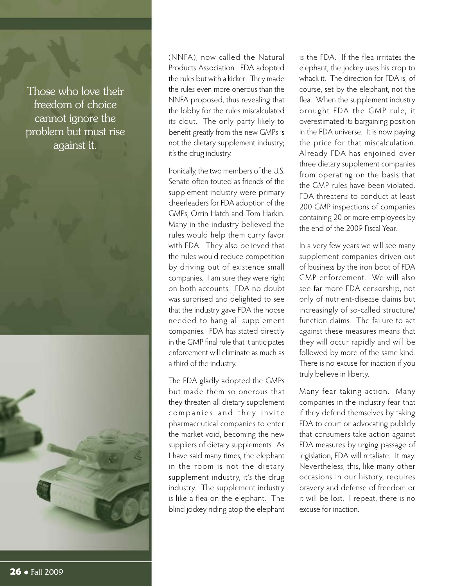Those who love their freedom of choice cannot ignore the problem but must rise against it.



(NNFA), now called the Natural Products Association. FDA adopted the rules but with a kicker: They made the rules even more onerous than the NNFA proposed, thus revealing that the lobby for the rules miscalculated its clout. The only party likely to benefit greatly from the new GMPs is not the dietary supplement industry; it's the drug industry.

Ironically, the two members of the U.S. Senate often touted as friends of the supplement industry were primary cheerleaders for FDA adoption of the GMPs, Orrin Hatch and Tom Harkin. Many in the industry believed the rules would help them curry favor with FDA. They also believed that the rules would reduce competition by driving out of existence small companies. I am sure they were right on both accounts. FDA no doubt was surprised and delighted to see that the industry gave FDA the noose needed to hang all supplement companies. FDA has stated directly in the GMP final rule that it anticipates enforcement will eliminate as much as a third of the industry.

The FDA gladly adopted the GMPs but made them so onerous that they threaten all dietary supplement companies and they invite pharmaceutical companies to enter the market void, becoming the new suppliers of dietary supplements. As I have said many times, the elephant in the room is not the dietary supplement industry, it's the drug industry. The supplement industry is like a flea on the elephant. The blind jockey riding atop the elephant

is the FDA. If the flea irritates the elephant, the jockey uses his crop to whack it. The direction for FDA is, of course, set by the elephant, not the flea. When the supplement industry brought FDA the GMP rule, it overestimated its bargaining position in the FDA universe. It is now paying the price for that miscalculation. Already FDA has enjoined over three dietary supplement companies from operating on the basis that the GMP rules have been violated. FDA threatens to conduct at least 200 GMP inspections of companies containing 20 or more employees by the end of the 2009 Fiscal Year.

In a very few years we will see many supplement companies driven out of business by the iron boot of FDA GMP enforcement. We will also see far more FDA censorship, not only of nutrient-disease claims but increasingly of so-called structure/ function claims. The failure to act against these measures means that they will occur rapidly and will be followed by more of the same kind. There is no excuse for inaction if you truly believe in liberty.

Many fear taking action. Many companies in the industry fear that if they defend themselves by taking FDA to court or advocating publicly that consumers take action against FDA measures by urging passage of legislation, FDA will retaliate. It may. Nevertheless, this, like many other occasions in our history, requires bravery and defense of freedom or it will be lost. I repeat, there is no excuse for inaction.